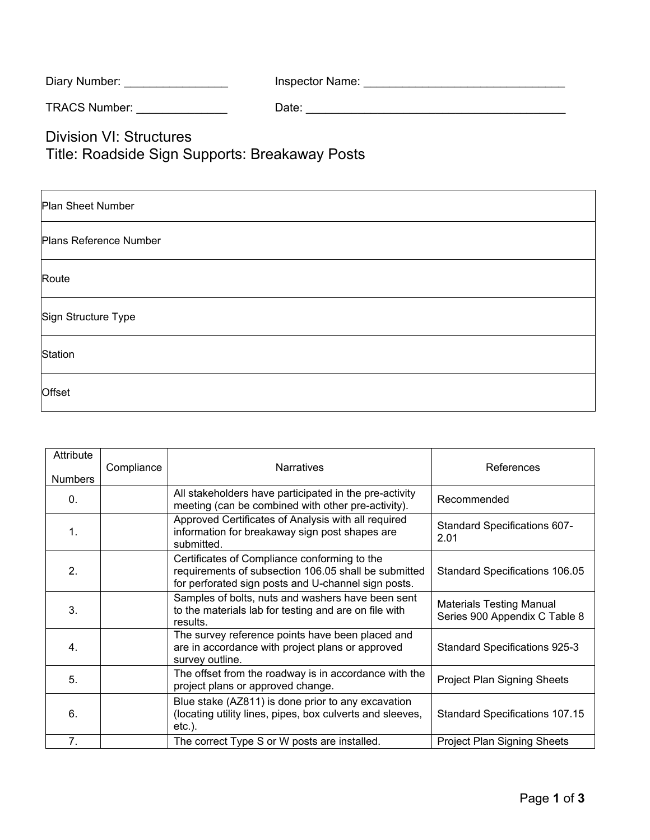| Diary Number: | Inspector Name: |  |
|---------------|-----------------|--|
|               |                 |  |

TRACS Number: \_\_\_\_\_\_\_\_\_\_\_\_\_\_ Date: \_\_\_\_\_\_\_\_\_\_\_\_\_\_\_\_\_\_\_\_\_\_\_\_\_\_\_\_\_\_\_\_\_\_\_\_\_\_\_\_

Division VI: Structures

Title: Roadside Sign Supports: Breakaway Posts

| Plan Sheet Number      |  |  |
|------------------------|--|--|
| Plans Reference Number |  |  |
| Route                  |  |  |
| Sign Structure Type    |  |  |
| Station                |  |  |
| Offset                 |  |  |

| Attribute      | Compliance | <b>Narratives</b>                                                                                                                                           | References                                                       |
|----------------|------------|-------------------------------------------------------------------------------------------------------------------------------------------------------------|------------------------------------------------------------------|
| <b>Numbers</b> |            |                                                                                                                                                             |                                                                  |
| 0.             |            | All stakeholders have participated in the pre-activity<br>meeting (can be combined with other pre-activity).                                                | Recommended                                                      |
| 1.             |            | Approved Certificates of Analysis with all required<br>information for breakaway sign post shapes are<br>submitted.                                         | <b>Standard Specifications 607-</b><br>2.01                      |
| 2.             |            | Certificates of Compliance conforming to the<br>requirements of subsection 106.05 shall be submitted<br>for perforated sign posts and U-channel sign posts. | Standard Specifications 106.05                                   |
| 3.             |            | Samples of bolts, nuts and washers have been sent<br>to the materials lab for testing and are on file with<br>results.                                      | <b>Materials Testing Manual</b><br>Series 900 Appendix C Table 8 |
| 4.             |            | The survey reference points have been placed and<br>are in accordance with project plans or approved<br>survey outline.                                     | <b>Standard Specifications 925-3</b>                             |
| 5.             |            | The offset from the roadway is in accordance with the<br>project plans or approved change.                                                                  | Project Plan Signing Sheets                                      |
| 6.             |            | Blue stake (AZ811) is done prior to any excavation<br>(locating utility lines, pipes, box culverts and sleeves,<br>$etc.$ ).                                | <b>Standard Specifications 107.15</b>                            |
| 7.             |            | The correct Type S or W posts are installed.                                                                                                                | Project Plan Signing Sheets                                      |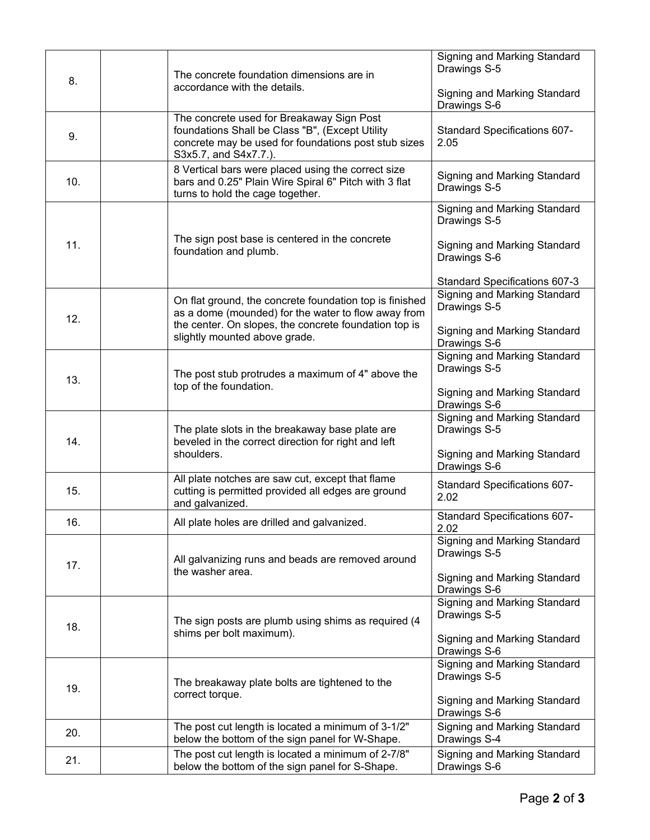| 8.  |                              | The concrete foundation dimensions are in                                                                                                                                     | Signing and Marking Standard<br>Drawings S-5 |
|-----|------------------------------|-------------------------------------------------------------------------------------------------------------------------------------------------------------------------------|----------------------------------------------|
|     | accordance with the details. |                                                                                                                                                                               | Signing and Marking Standard<br>Drawings S-6 |
| 9.  |                              | The concrete used for Breakaway Sign Post<br>foundations Shall be Class "B", (Except Utility<br>concrete may be used for foundations post stub sizes<br>S3x5.7, and S4x7.7.). | Standard Specifications 607-<br>2.05         |
| 10. |                              | 8 Vertical bars were placed using the correct size<br>bars and 0.25" Plain Wire Spiral 6" Pitch with 3 flat<br>turns to hold the cage together.                               | Signing and Marking Standard<br>Drawings S-5 |
|     |                              |                                                                                                                                                                               | Signing and Marking Standard<br>Drawings S-5 |
| 11. |                              | The sign post base is centered in the concrete<br>foundation and plumb.                                                                                                       | Signing and Marking Standard<br>Drawings S-6 |
|     |                              |                                                                                                                                                                               | Standard Specifications 607-3                |
| 12. |                              | On flat ground, the concrete foundation top is finished<br>as a dome (mounded) for the water to flow away from                                                                | Signing and Marking Standard<br>Drawings S-5 |
|     |                              | the center. On slopes, the concrete foundation top is<br>slightly mounted above grade.                                                                                        | Signing and Marking Standard<br>Drawings S-6 |
|     |                              | The post stub protrudes a maximum of 4" above the                                                                                                                             | Signing and Marking Standard<br>Drawings S-5 |
| 13. |                              | top of the foundation.                                                                                                                                                        | Signing and Marking Standard<br>Drawings S-6 |
| 14. |                              | The plate slots in the breakaway base plate are<br>beveled in the correct direction for right and left<br>shoulders.                                                          | Signing and Marking Standard<br>Drawings S-5 |
|     |                              |                                                                                                                                                                               | Signing and Marking Standard<br>Drawings S-6 |
| 15. |                              | All plate notches are saw cut, except that flame<br>cutting is permitted provided all edges are ground<br>and galvanized.                                                     | Standard Specifications 607-<br>2.02         |
| 16. |                              | All plate holes are drilled and galvanized.                                                                                                                                   | Standard Specifications 607-<br>2.02         |
| 17. |                              | All galvanizing runs and beads are removed around<br>the washer area.                                                                                                         | Signing and Marking Standard<br>Drawings S-5 |
|     |                              |                                                                                                                                                                               | Signing and Marking Standard<br>Drawings S-6 |
| 18. | shims per bolt maximum).     | The sign posts are plumb using shims as required (4                                                                                                                           | Signing and Marking Standard<br>Drawings S-5 |
|     |                              |                                                                                                                                                                               | Signing and Marking Standard<br>Drawings S-6 |
| 19. |                              | The breakaway plate bolts are tightened to the                                                                                                                                | Signing and Marking Standard<br>Drawings S-5 |
|     |                              | correct torque.                                                                                                                                                               | Signing and Marking Standard<br>Drawings S-6 |
| 20. |                              | The post cut length is located a minimum of 3-1/2"<br>below the bottom of the sign panel for W-Shape.                                                                         | Signing and Marking Standard<br>Drawings S-4 |
| 21. |                              | The post cut length is located a minimum of 2-7/8"<br>below the bottom of the sign panel for S-Shape.                                                                         | Signing and Marking Standard<br>Drawings S-6 |